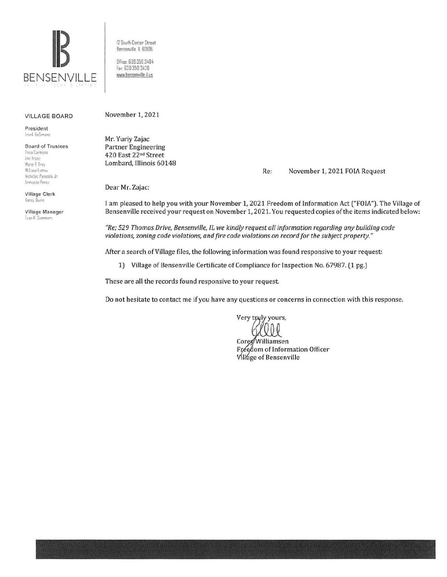

12 South Center Street Bensenville ll 60106 Office. 630.350.3404 fax· 630 350 3438 www.bensenville.il.us

#### VILLAGE BOARD

President I r:1•l lleS11r.one

**Board of Trustees**<br>Resultarmona  $I$ <sup>d</sup> *den i manz* Marie T. Frey McLane Lomax Nicholas Panicola Jr. **l,rm::mdo Per-er** 

Village Clerk Nancy fluinn

Village Manager **Evan K.** Summers

November 1, 2021

Mr. Yuriy Zajac Partner Engineering 420 East 22"d Street Lombard, Illinois 60148

Re: November 1, 2021 FOIA Request

Dear Mr. Zajac:

I am pleased to help you with your November 1, 2021 Freedom of Information Act ("FOIA"). The Village of Bensenville received your request on November 1, 2021. You requested copies of the items indicated below:

*"Re; 529 Thomas Drive, Bensenville, IL we kindly request all information regarding any building code violations, zoning code violations, and fire code violations on record for the subject property."* 

After a search of Village files, the following information was found responsive to your request:

1) Village of Bensenville Certificate of Compliance for Inspection No. 67987. (1 pg.)

These are all the records found responsive to your request

Do not hesitate to contact me if you have any questions or concerns in connection with this response.

Very truly yours,

Corey/Williamsen Freedom of Information Officer Village of Bensenville